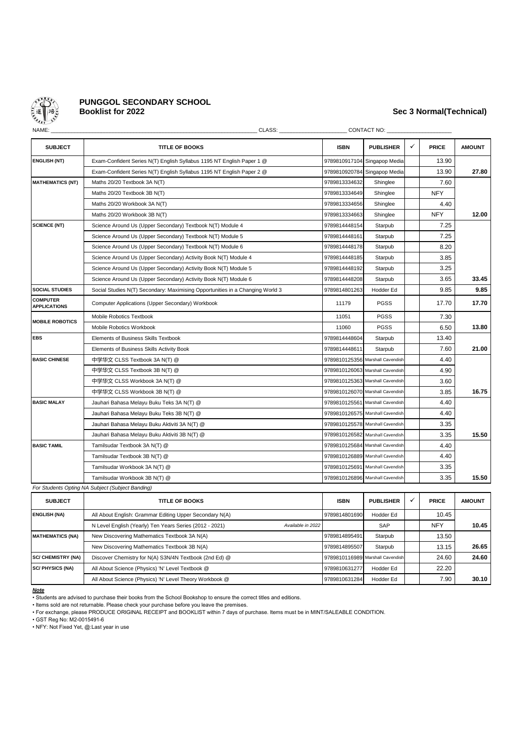

# **PUNGGOL SECONDARY SCHOOL**

## **Booklist for 2022 Sec 3 Normal(Technical)**

| NAME:                                  | CLASS:                                                                        | <b>CONTACT NO:</b> |                                  |   |              |               |  |  |  |  |
|----------------------------------------|-------------------------------------------------------------------------------|--------------------|----------------------------------|---|--------------|---------------|--|--|--|--|
| <b>SUBJECT</b>                         | <b>TITLE OF BOOKS</b>                                                         | <b>ISBN</b>        | <b>PUBLISHER</b>                 | ✓ | <b>PRICE</b> | <b>AMOUNT</b> |  |  |  |  |
| <b>ENGLISH (NT)</b>                    | Exam-Confident Series N(T) English Syllabus 1195 NT English Paper 1 @         |                    | 9789810917104 Singapop Media     |   | 13.90        |               |  |  |  |  |
|                                        | Exam-Confident Series N(T) English Syllabus 1195 NT English Paper 2 @         |                    | 9789810920784 Singapop Media     |   | 13.90        | 27.80         |  |  |  |  |
| <b>MATHEMATICS (NT)</b>                | Maths 20/20 Textbook 3A N(T)                                                  | 9789813334632      | Shinglee                         |   | 7.60         |               |  |  |  |  |
|                                        | Maths 20/20 Textbook 3B N(T)                                                  | 9789813334649      | Shinglee                         |   | <b>NFY</b>   |               |  |  |  |  |
|                                        | Maths 20/20 Workbook 3A N(T)                                                  | 9789813334656      | Shinglee                         |   | 4.40         |               |  |  |  |  |
|                                        | Maths 20/20 Workbook 3B N(T)                                                  | 9789813334663      | Shinglee                         |   | <b>NFY</b>   | 12.00         |  |  |  |  |
| <b>SCIENCE (NT)</b>                    | Science Around Us (Upper Secondary) Textbook N(T) Module 4                    | 9789814448154      | Starpub                          |   | 7.25         |               |  |  |  |  |
|                                        | Science Around Us (Upper Secondary) Textbook N(T) Module 5                    | 9789814448161      | Starpub                          |   | 7.25         |               |  |  |  |  |
|                                        | Science Around Us (Upper Secondary) Textbook N(T) Module 6                    | 9789814448178      | Starpub                          |   | 8.20         |               |  |  |  |  |
|                                        | Science Around Us (Upper Secondary) Activity Book N(T) Module 4               | 9789814448185      | Starpub                          |   | 3.85         |               |  |  |  |  |
|                                        | Science Around Us (Upper Secondary) Activity Book N(T) Module 5               | 9789814448192      | Starpub                          |   | 3.25         |               |  |  |  |  |
|                                        | Science Around Us (Upper Secondary) Activity Book N(T) Module 6               | 9789814448208      | Starpub                          |   | 3.65         | 33.45         |  |  |  |  |
| <b>SOCIAL STUDIES</b>                  | Social Studies N(T) Secondary: Maximising Opportunities in a Changing World 3 | 9789814801263      | Hodder Ed                        |   | 9.85         | 9.85          |  |  |  |  |
| <b>COMPUTER</b><br><b>APPLICATIONS</b> | Computer Applications (Upper Secondary) Workbook                              | 11179              | <b>PGSS</b>                      |   | 17.70        | 17.70         |  |  |  |  |
| <b>MOBILE ROBOTICS</b>                 | Mobile Robotics Textbook                                                      | 11051              | <b>PGSS</b>                      |   | 7.30         |               |  |  |  |  |
|                                        | Mobile Robotics Workbook                                                      | 11060              | <b>PGSS</b>                      |   | 6.50         | 13.80         |  |  |  |  |
| <b>EBS</b>                             | Elements of Business Skills Textbook                                          | 9789814448604      | Starpub                          |   | 13.40        |               |  |  |  |  |
|                                        | Elements of Business Skills Activity Book                                     | 9789814448611      | Starpub                          |   | 7.60         | 21.00         |  |  |  |  |
| <b>BASIC CHINESE</b>                   | 中学华文 CLSS Textbook 3A N(T) @                                                  |                    | 9789810125356 Marshall Cavendish |   | 4.40         |               |  |  |  |  |
|                                        | 中学华文 CLSS Textbook 3B N(T) @                                                  |                    | 9789810126063 Marshall Cavendish |   | 4.90         |               |  |  |  |  |
|                                        | 中学华文 CLSS Workbook 3A N(T) @                                                  |                    | 9789810125363 Marshall Cavendish |   | 3.60         |               |  |  |  |  |
|                                        | 中学华文 CLSS Workbook 3B N(T) @                                                  |                    | 9789810126070 Marshall Cavendish |   | 3.85         | 16.75         |  |  |  |  |
| <b>BASIC MALAY</b>                     | Jauhari Bahasa Melayu Buku Teks 3A N(T) @                                     |                    | 9789810125561 Marshall Cavendish |   | 4.40         |               |  |  |  |  |
|                                        | Jauhari Bahasa Melayu Buku Teks 3B N(T) @                                     |                    | 9789810126575 Marshall Cavendish |   | 4.40         |               |  |  |  |  |
|                                        | Jauhari Bahasa Melayu Buku Aktiviti 3A N(T) @                                 |                    | 9789810125578 Marshall Cavendish |   | 3.35         |               |  |  |  |  |
|                                        | Jauhari Bahasa Melayu Buku Aktiviti 3B N(T) @                                 |                    | 9789810126582 Marshall Cavendish |   | 3.35         | 15.50         |  |  |  |  |
| <b>BASIC TAMIL</b>                     | Tamilsudar Textbook 3A N(T) @                                                 |                    | 9789810125684 Marshall Cavendish |   | 4.40         |               |  |  |  |  |
|                                        | Tamilsudar Textbook 3B N(T) @                                                 |                    | 9789810126889 Marshall Cavendish |   | 4.40         |               |  |  |  |  |
|                                        | Tamilsudar Workbook 3A N(T) @                                                 |                    | 9789810125691 Marshall Cavendish |   | 3.35         |               |  |  |  |  |
|                                        | Tamilsudar Workbook 3B N(T) @                                                 |                    | 9789810126896 Marshall Cavendish |   | 3.35         | 15.50         |  |  |  |  |

*For Students Opting NA Subject (Subject Banding)*

| <b>SUBJECT</b>            | <b>TITLE OF BOOKS</b>                                                        | <b>ISBN</b>   | <b>PUBLISHER</b>                 | <b>PRICE</b> | <b>AMOUNT</b> |
|---------------------------|------------------------------------------------------------------------------|---------------|----------------------------------|--------------|---------------|
| <b>ENGLISH (NA)</b>       | All About English: Grammar Editing Upper Secondary N(A)                      | 9789814801690 | Hodder Ed                        | 10.45        |               |
|                           | N Level English (Yearly) Ten Years Series (2012 - 2021)<br>Available in 2022 |               | SAP                              | <b>NFY</b>   | 10.45         |
| <b>MATHEMATICS (NA)</b>   | New Discovering Mathematics Textbook 3A N(A)                                 | 9789814895491 | Starpub                          | 13.50        |               |
|                           | New Discovering Mathematics Textbook 3B N(A)                                 | 9789814895507 | Starpub                          | 13.15        | 26.65         |
| <b>SC/ CHEMISTRY (NA)</b> | Discover Chemistry for N(A) S3N/4N Textbook (2nd Ed) @                       |               | 9789810116989 Marshall Cavendish | 24.60        | 24.60         |
| <b>SC/PHYSICS (NA)</b>    | All About Science (Physics) 'N' Level Textbook @                             | 9789810631277 | Hodder Ed                        | 22.20        |               |
|                           | All About Science (Physics) 'N' Level Theory Workbook @                      | 9789810631284 | Hodder Ed                        | 7.90         | 30.10         |

*Note*

• GST Reg No: M2-0015491-6

• NFY: Not Fixed Yet, @:Last year in use

<sup>•</sup> Students are advised to purchase their books from the School Bookshop to ensure the correct titles and editions.

<sup>•</sup> Items sold are not returnable. Please check your purchase before you leave the premises.

<sup>•</sup> For exchange, please PRODUCE ORIGINAL RECEIPT and BOOKLIST within 7 days of purchase. Items must be in MINT/SALEABLE CONDITION.